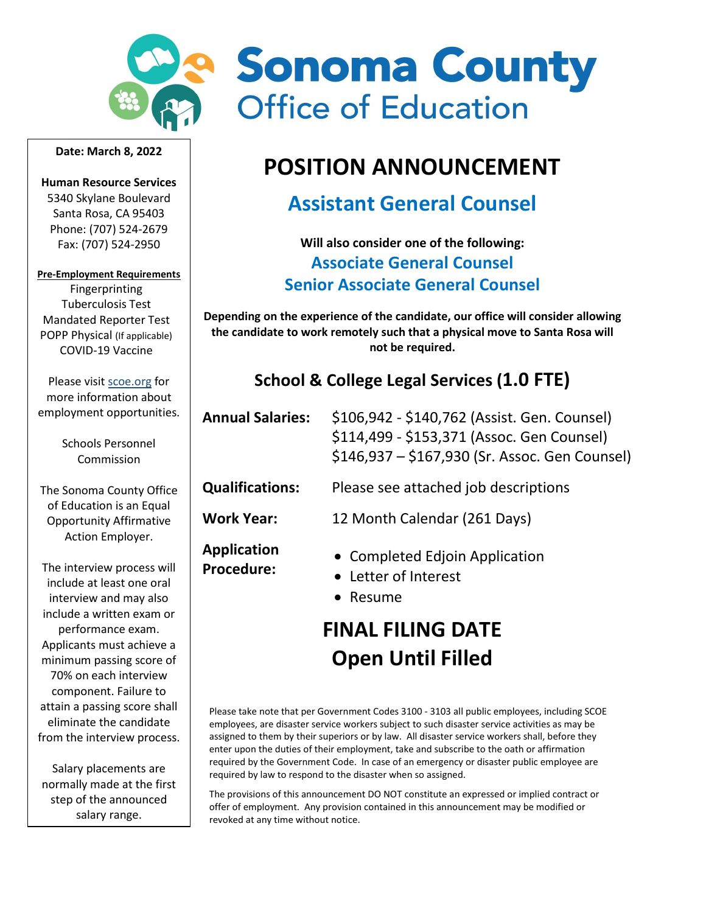

#### **Date: March 8, 2022**

**Human Resource Services** 5340 Skylane Boulevard Santa Rosa, CA 95403 Phone: (707) 524-2679 Fax: (707) 524-2950

#### **Pre-Employment Requirements**

Fingerprinting Tuberculosis Test Mandated Reporter Test POPP Physical (If applicable) COVID-19 Vaccine

Please visi[t scoe.org](http://www.scoe.org/) for more information about employment opportunities.

> Schools Personnel Commission

The Sonoma County Office of Education is an Equal Opportunity Affirmative Action Employer.

The interview process will include at least one oral interview and may also include a written exam or performance exam. Applicants must achieve a minimum passing score of 70% on each interview component. Failure to attain a passing score shall eliminate the candidate from the interview process.

Salary placements are normally made at the first step of the announced salary range.



# **POSITION ANNOUNCEMENT**

# **Assistant General Counsel**

**Will also consider one of the following: Associate General Counsel Senior Associate General Counsel**

**Depending on the experience of the candidate, our office will consider allowing the candidate to work remotely such that a physical move to Santa Rosa will not be required.**

## **School & College Legal Services (1.0 FTE)**

| <b>Annual Salaries:</b>          | \$106,942 - \$140,762 (Assist. Gen. Counsel)<br>\$114,499 - \$153,371 (Assoc. Gen Counsel)<br>\$146,937 - \$167,930 (Sr. Assoc. Gen Counsel) |
|----------------------------------|----------------------------------------------------------------------------------------------------------------------------------------------|
| <b>Qualifications:</b>           | Please see attached job descriptions                                                                                                         |
| <b>Work Year:</b>                | 12 Month Calendar (261 Days)                                                                                                                 |
| Application<br><b>Procedure:</b> | • Completed Edjoin Application<br>• Letter of Interest<br>• Resume                                                                           |

# **FINAL FILING DATE Open Until Filled**

Please take note that per Government Codes 3100 - 3103 all public employees, including SCOE employees, are disaster service workers subject to such disaster service activities as may be assigned to them by their superiors or by law. All disaster service workers shall, before they enter upon the duties of their employment, take and subscribe to the oath or affirmation required by the Government Code. In case of an emergency or disaster public employee are required by law to respond to the disaster when so assigned.

The provisions of this announcement DO NOT constitute an expressed or implied contract or offer of employment. Any provision contained in this announcement may be modified or revoked at any time without notice.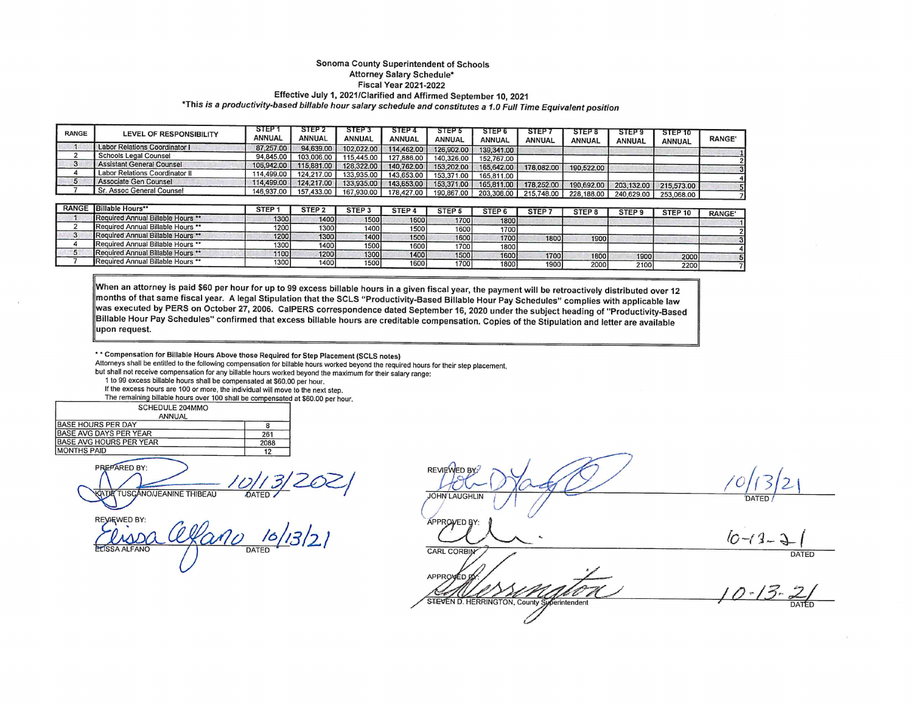#### Sonoma County Superintendent of Schools Attorney Salary Schedule\* **Fiscal Year 2021-2022** Effective July 1, 2021/Clarified and Affirmed September 10, 2021 \*This is a productivity-based billable hour salary schedule and constitutes a 1.0 Full Time Equivalent position

| <b>RANGE</b> | LEVEL OF RESPONSIBILITY          | <b>STEP</b><br>ANNUAL | STEP 2<br>ANNUAL | STEP <sub>3</sub><br><b>ANNUAL</b> | STEP 4<br>ANNUAL | STEP <sub>5</sub><br><b>ANNUAL</b> | <b>STEP 6</b><br><b>ANNUAL</b> | <b>STEP</b><br><b>ANNUAL</b> | STEP 8<br><b>ANNUAL</b> | STEP <sub>9</sub><br><b>ANNUAL</b> | STEP 10<br><b>ANNUAL</b> | <b>RANGE'</b> |
|--------------|----------------------------------|-----------------------|------------------|------------------------------------|------------------|------------------------------------|--------------------------------|------------------------------|-------------------------|------------------------------------|--------------------------|---------------|
|              | Labor Relations Coordinator I    | 87.257.00             | 94,639.00        | 102,022.00                         | 114,462.00       | 126,902.00                         | 139,341.00                     |                              |                         |                                    |                          |               |
|              | <b>Schools Legal Counsel</b>     | 94,845,00             | 103,006.00       | 115,445.00                         | 127,886,00       | 140,326,00                         | 152.767.00                     |                              |                         |                                    |                          |               |
|              | <b>Assistant General Counsel</b> | 106,942.00            | 115,881.00       | 128,322,00                         | 140.762.00       | 153,202.00                         | 165,642.00                     | 178,082.00                   | 190,522.00              |                                    |                          |               |
|              | Labor Relations Coordinator II   | 14.499.00             | 124.217.00       | 133,935.00                         | 143,653,00       | 153,371.00                         | 165,811.00                     |                              |                         |                                    |                          |               |
|              | Associate Gen Counsel            | 14,499.00             | 124,217.00       | 133,935.00                         | 143,653,00       | 153,371,00                         | 165,811.00                     | 178,252.00                   | 190,692,00              | 203.132.00                         | 215,573.00               |               |
|              | Sr. Assoc General Counsel        | 146.937.00 i          | 157,433.00       | 167,930,00                         | 178,427.00       | 190,867,00                         | 203,308.00                     | 215,748.00                   | 228.188.00              | 240.629.00                         | 253,068,00               |               |

| <b>RANGE</b> | <b>Billable Hours**</b>           | <b>STEP</b> | STEP <sub>2</sub> | STEP <sub>3</sub> | STEP <sub>4</sub> | STEP <sub>5</sub> | STEP <sub>6</sub> | STEP. | STEP <sub>8</sub> | STEP! | STEP <sub>10</sub> | <b>RANGE</b> |
|--------------|-----------------------------------|-------------|-------------------|-------------------|-------------------|-------------------|-------------------|-------|-------------------|-------|--------------------|--------------|
|              | Required Annual Billable Hours ** | 1300        | 1400              | 1500              | 1600              | 1700              | 1800              |       |                   |       |                    |              |
|              | Required Annual Billable Hours ** | 1200        | 13001             | 1400              | 1500              | 1600              | 1700              |       |                   |       |                    |              |
|              | Required Annual Billable Hours ** | 1200        | 1300              | 1400              | 1500              | 1600              | 1700              | 1800  | 1900              |       |                    |              |
|              | Required Annual Billable Hours ** | 1300        | 1400              | 1500              | 1600              | 1700              | 1800              |       |                   |       |                    |              |
|              | Required Annual Billable Hours ** | 1100        | 1200              | 1300              | 1400              | 1500              | 1600              | 1700  | 1800              | 1900  | 2000               |              |
|              | Required Annual Billable Hours ** | 1300        | 1400              | 1500              | 1600              | 1700              | 1800              | 1900  | 2000              | 2100  | 22001              |              |

When an attorney is paid \$60 per hour for up to 99 excess billable hours in a given fiscal year, the payment will be retroactively distributed over 12 months of that same fiscal year. A legal Stipulation that the SCLS "Productivity-Based Billable Hour Pay Schedules" complies with applicable law was executed by PERS on October 27, 2006. CaIPERS correspondence dated September 16, 2020 under the subject heading of "Productivity-Based Billable Hour Pay Schedules" confirmed that excess billable hours are creditable compensation. Copies of the Stipulation and letter are available upon request.

\* \* Compensation for Billable Hours Above those Required for Step Placement (SCLS notes)

Attorneys shall be entitled to the following compensation for billable hours worked beyond the required hours for their step placement,

but shall not receive compensation for any billable hours worked beyond the maximum for their salary range:

1 to 99 excess billable hours shall be compensated at \$60.00 per hour.

If the excess hours are 100 or more, the individual will move to the next step. The remaining billable hours over 100 shall be compensated at \$60.00 per hour.

| SCHEDULE 204MMO         |      |
|-------------------------|------|
| ANNUAL                  |      |
| BASE HOURS PER DAY      |      |
| BASE AVG DAYS PER YEAR  | 261  |
| 3ASE AVG HOURS PER YEAR | 2088 |
| <b>MONTHS PAID</b>      |      |
|                         |      |

**PREPARED BY:** TUSCANO/JEANINE THIBEAU DATED.

 $\frac{16}{13}$ 2 A ALFANO

**REVIEWED BY JOHN LAUGHLIN** 

APPROVED BY:

**CARL CORBIN** APPROVED STEVEN D. HERRINGTON, County Sup erintendent

 $10 - 13 -$ 

**DATED**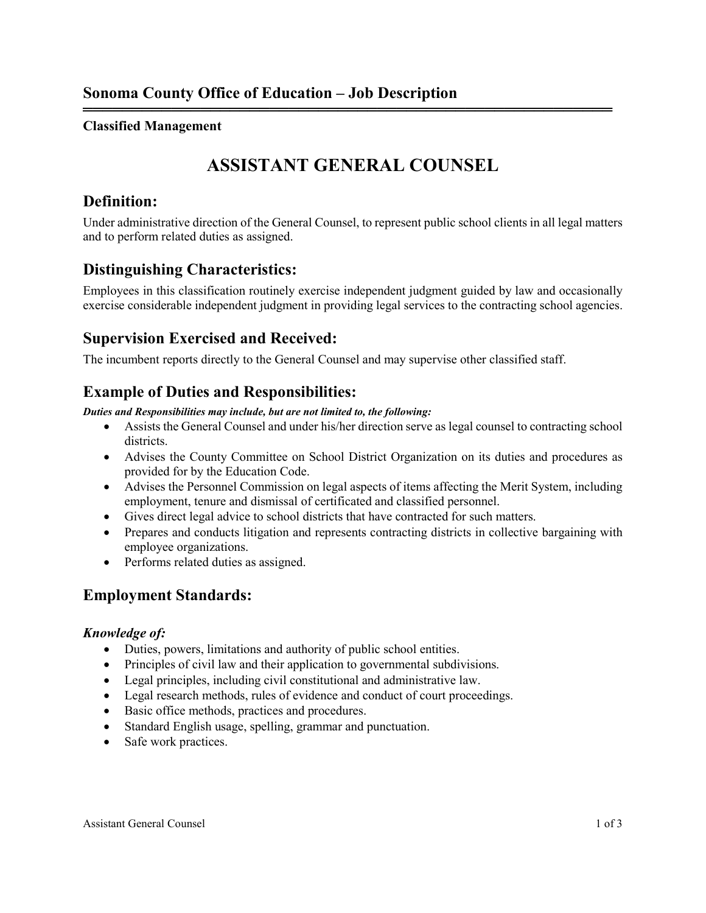## **Classified Management**

## **ASSISTANT GENERAL COUNSEL**

══════════════════════════════════════════════════════

## **Definition:**

Under administrative direction of the General Counsel, to represent public school clients in all legal matters and to perform related duties as assigned.

## **Distinguishing Characteristics:**

Employees in this classification routinely exercise independent judgment guided by law and occasionally exercise considerable independent judgment in providing legal services to the contracting school agencies.

## **Supervision Exercised and Received:**

The incumbent reports directly to the General Counsel and may supervise other classified staff.

## **Example of Duties and Responsibilities:**

*Duties and Responsibilities may include, but are not limited to, the following:*

- Assists the General Counsel and under his/her direction serve as legal counsel to contracting school districts.
- Advises the County Committee on School District Organization on its duties and procedures as provided for by the Education Code.
- Advises the Personnel Commission on legal aspects of items affecting the Merit System, including employment, tenure and dismissal of certificated and classified personnel.
- Gives direct legal advice to school districts that have contracted for such matters.
- Prepares and conducts litigation and represents contracting districts in collective bargaining with employee organizations.
- Performs related duties as assigned.

## **Employment Standards:**

### *Knowledge of:*

- Duties, powers, limitations and authority of public school entities.
- Principles of civil law and their application to governmental subdivisions.
- Legal principles, including civil constitutional and administrative law.
- Legal research methods, rules of evidence and conduct of court proceedings.
- Basic office methods, practices and procedures.
- Standard English usage, spelling, grammar and punctuation.
- Safe work practices.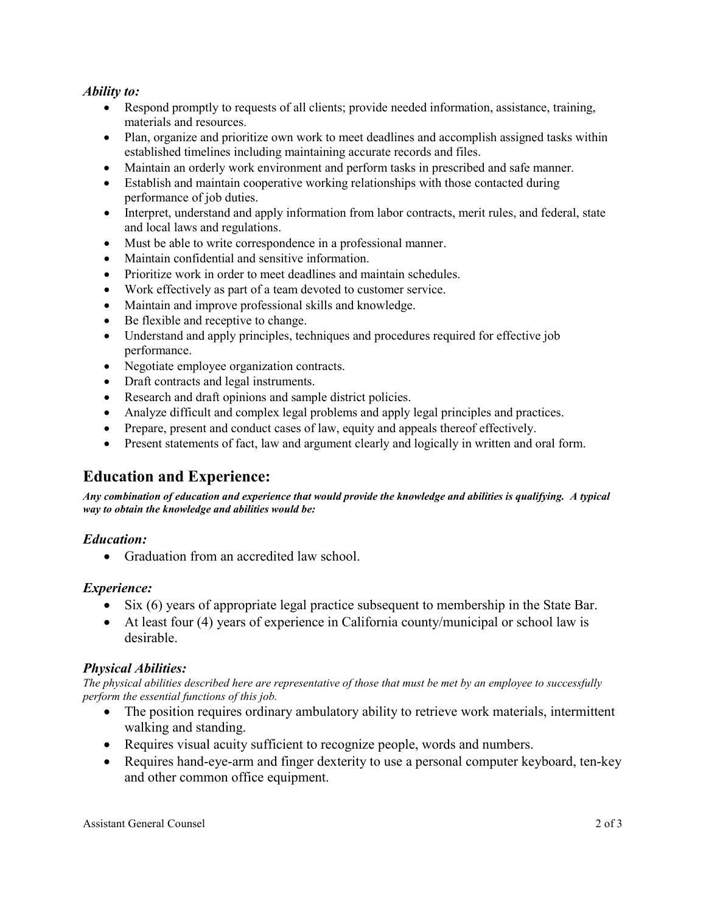### *Ability to:*

- Respond promptly to requests of all clients; provide needed information, assistance, training, materials and resources.
- Plan, organize and prioritize own work to meet deadlines and accomplish assigned tasks within established timelines including maintaining accurate records and files.
- Maintain an orderly work environment and perform tasks in prescribed and safe manner.
- Establish and maintain cooperative working relationships with those contacted during performance of job duties.
- Interpret, understand and apply information from labor contracts, merit rules, and federal, state and local laws and regulations.
- Must be able to write correspondence in a professional manner.
- Maintain confidential and sensitive information.
- Prioritize work in order to meet deadlines and maintain schedules.
- Work effectively as part of a team devoted to customer service.
- Maintain and improve professional skills and knowledge.
- Be flexible and receptive to change.
- Understand and apply principles, techniques and procedures required for effective job performance.
- Negotiate employee organization contracts.
- Draft contracts and legal instruments.
- Research and draft opinions and sample district policies.
- Analyze difficult and complex legal problems and apply legal principles and practices.
- Prepare, present and conduct cases of law, equity and appeals thereof effectively.
- Present statements of fact, law and argument clearly and logically in written and oral form.

## **Education and Experience:**

*Any combination of education and experience that would provide the knowledge and abilities is qualifying. A typical way to obtain the knowledge and abilities would be:*

### *Education:*

• Graduation from an accredited law school.

### *Experience:*

- Six (6) years of appropriate legal practice subsequent to membership in the State Bar.
- At least four (4) years of experience in California county/municipal or school law is desirable.

#### *Physical Abilities:*

*The physical abilities described here are representative of those that must be met by an employee to successfully perform the essential functions of this job.* 

- The position requires ordinary ambulatory ability to retrieve work materials, intermittent walking and standing.
- Requires visual acuity sufficient to recognize people, words and numbers.
- Requires hand-eye-arm and finger dexterity to use a personal computer keyboard, ten-key and other common office equipment.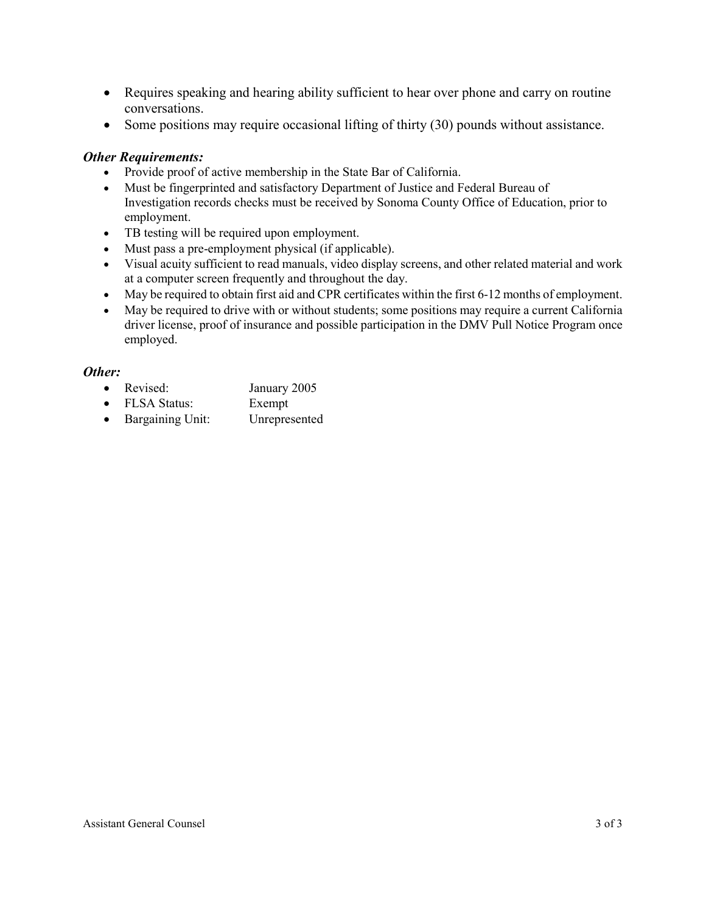- Requires speaking and hearing ability sufficient to hear over phone and carry on routine conversations.
- Some positions may require occasional lifting of thirty (30) pounds without assistance.

#### *Other Requirements:*

- Provide proof of active membership in the State Bar of California.
- Must be fingerprinted and satisfactory Department of Justice and Federal Bureau of Investigation records checks must be received by Sonoma County Office of Education, prior to employment.
- TB testing will be required upon employment.
- Must pass a pre-employment physical (if applicable).
- Visual acuity sufficient to read manuals, video display screens, and other related material and work at a computer screen frequently and throughout the day.
- May be required to obtain first aid and CPR certificates within the first 6-12 months of employment.
- May be required to drive with or without students; some positions may require a current California driver license, proof of insurance and possible participation in the DMV Pull Notice Program once employed.

#### *Other:*

- Revised: January 2005
- FLSA Status: Exempt
- Bargaining Unit: Unrepresented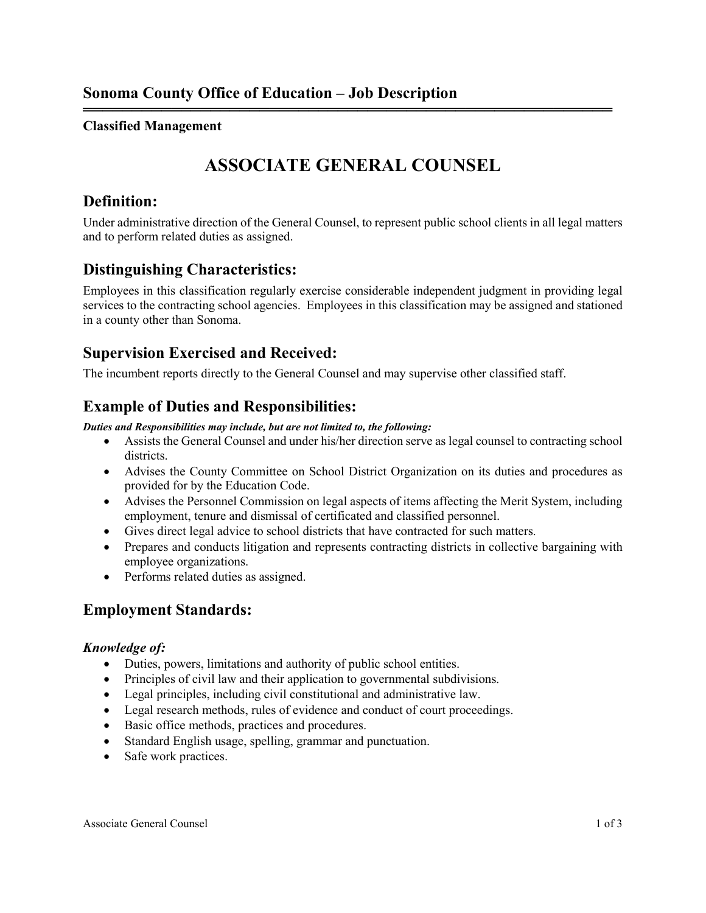## **Classified Management**

## **ASSOCIATE GENERAL COUNSEL**

══════════════════════════════════════════════════════

## **Definition:**

Under administrative direction of the General Counsel, to represent public school clients in all legal matters and to perform related duties as assigned.

## **Distinguishing Characteristics:**

Employees in this classification regularly exercise considerable independent judgment in providing legal services to the contracting school agencies. Employees in this classification may be assigned and stationed in a county other than Sonoma.

## **Supervision Exercised and Received:**

The incumbent reports directly to the General Counsel and may supervise other classified staff.

## **Example of Duties and Responsibilities:**

#### *Duties and Responsibilities may include, but are not limited to, the following:*

- Assists the General Counsel and under his/her direction serve as legal counsel to contracting school districts.
- Advises the County Committee on School District Organization on its duties and procedures as provided for by the Education Code.
- Advises the Personnel Commission on legal aspects of items affecting the Merit System, including employment, tenure and dismissal of certificated and classified personnel.
- Gives direct legal advice to school districts that have contracted for such matters.
- Prepares and conducts litigation and represents contracting districts in collective bargaining with employee organizations.
- Performs related duties as assigned.

## **Employment Standards:**

### *Knowledge of:*

- Duties, powers, limitations and authority of public school entities.
- Principles of civil law and their application to governmental subdivisions.
- Legal principles, including civil constitutional and administrative law.
- Legal research methods, rules of evidence and conduct of court proceedings.
- Basic office methods, practices and procedures.
- Standard English usage, spelling, grammar and punctuation.
- Safe work practices.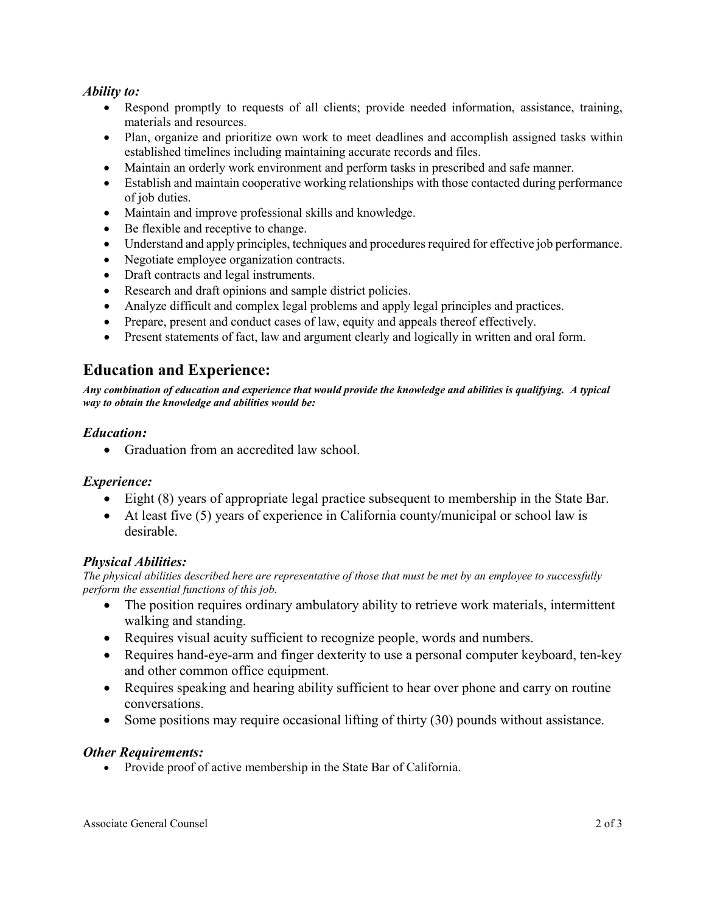### *Ability to:*

- Respond promptly to requests of all clients; provide needed information, assistance, training, materials and resources.
- Plan, organize and prioritize own work to meet deadlines and accomplish assigned tasks within established timelines including maintaining accurate records and files.
- Maintain an orderly work environment and perform tasks in prescribed and safe manner.
- Establish and maintain cooperative working relationships with those contacted during performance of job duties.
- Maintain and improve professional skills and knowledge.
- Be flexible and receptive to change.
- Understand and apply principles, techniques and procedures required for effective job performance.
- Negotiate employee organization contracts.
- Draft contracts and legal instruments.
- Research and draft opinions and sample district policies.
- Analyze difficult and complex legal problems and apply legal principles and practices.
- Prepare, present and conduct cases of law, equity and appeals thereof effectively.
- Present statements of fact, law and argument clearly and logically in written and oral form.

## **Education and Experience:**

*Any combination of education and experience that would provide the knowledge and abilities is qualifying. A typical way to obtain the knowledge and abilities would be:*

## *Education:*

• Graduation from an accredited law school.

### *Experience:*

- Eight (8) years of appropriate legal practice subsequent to membership in the State Bar.
- At least five (5) years of experience in California county/municipal or school law is desirable.

## *Physical Abilities:*

*The physical abilities described here are representative of those that must be met by an employee to successfully perform the essential functions of this job.* 

- The position requires ordinary ambulatory ability to retrieve work materials, intermittent walking and standing.
- Requires visual acuity sufficient to recognize people, words and numbers.
- Requires hand-eye-arm and finger dexterity to use a personal computer keyboard, ten-key and other common office equipment.
- Requires speaking and hearing ability sufficient to hear over phone and carry on routine conversations.
- Some positions may require occasional lifting of thirty (30) pounds without assistance.

### *Other Requirements:*

• Provide proof of active membership in the State Bar of California.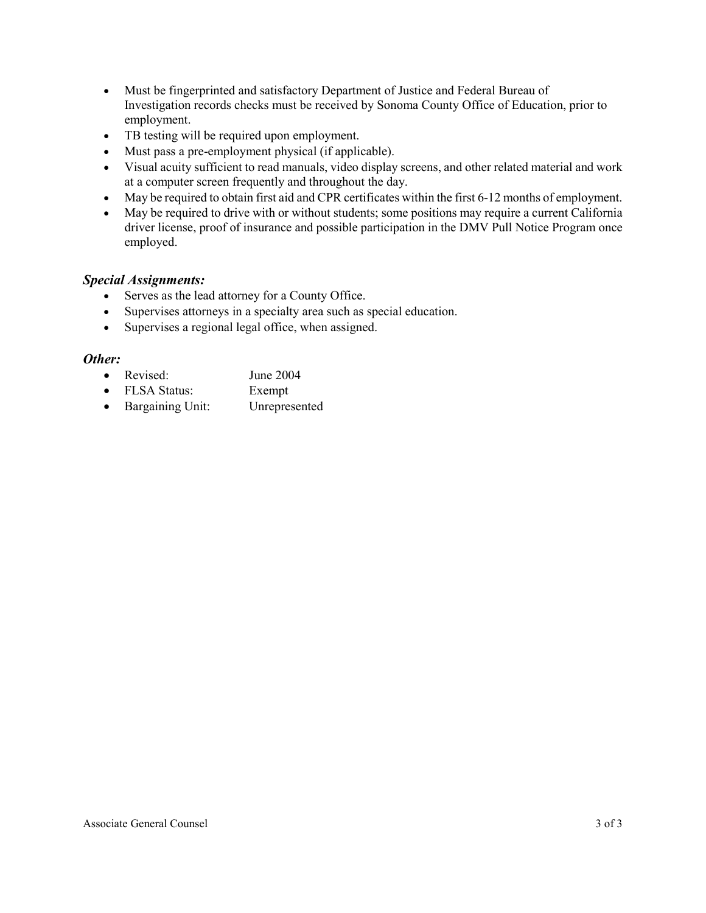- Must be fingerprinted and satisfactory Department of Justice and Federal Bureau of Investigation records checks must be received by Sonoma County Office of Education, prior to employment.
- TB testing will be required upon employment.
- Must pass a pre-employment physical (if applicable).
- Visual acuity sufficient to read manuals, video display screens, and other related material and work at a computer screen frequently and throughout the day.
- May be required to obtain first aid and CPR certificates within the first 6-12 months of employment.
- May be required to drive with or without students; some positions may require a current California driver license, proof of insurance and possible participation in the DMV Pull Notice Program once employed.

### *Special Assignments:*

- Serves as the lead attorney for a County Office.
- Supervises attorneys in a specialty area such as special education.
- Supervises a regional legal office, when assigned.

### *Other:*

- Revised: June 2004
- FLSA Status: Exempt
- Bargaining Unit: Unrepresented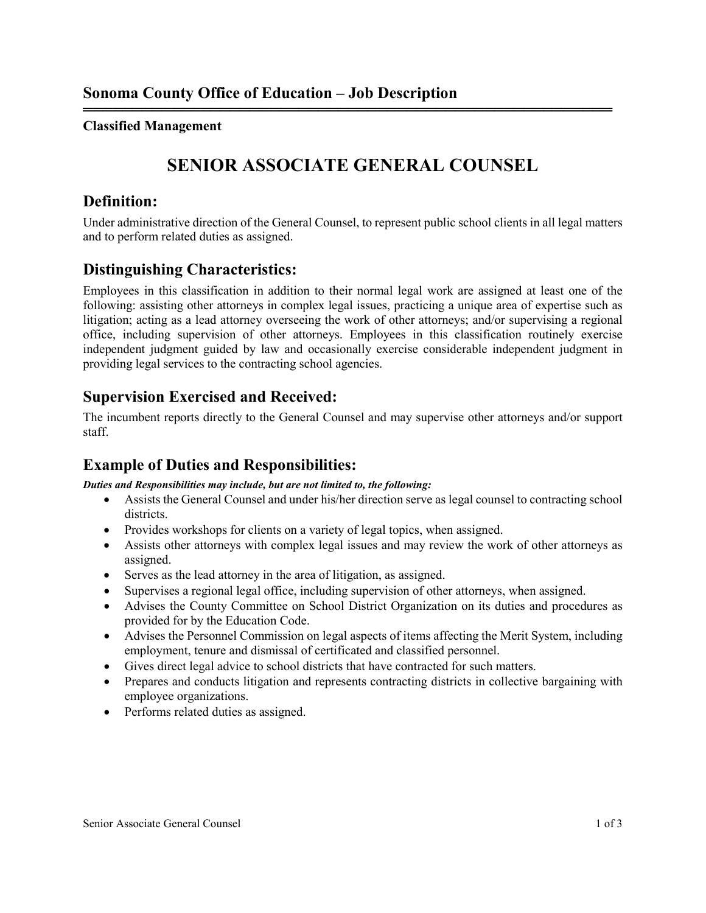## **Classified Management**

## **SENIOR ASSOCIATE GENERAL COUNSEL**

══════════════════════════════════════════════════════

## **Definition:**

Under administrative direction of the General Counsel, to represent public school clients in all legal matters and to perform related duties as assigned.

## **Distinguishing Characteristics:**

Employees in this classification in addition to their normal legal work are assigned at least one of the following: assisting other attorneys in complex legal issues, practicing a unique area of expertise such as litigation; acting as a lead attorney overseeing the work of other attorneys; and/or supervising a regional office, including supervision of other attorneys. Employees in this classification routinely exercise independent judgment guided by law and occasionally exercise considerable independent judgment in providing legal services to the contracting school agencies.

## **Supervision Exercised and Received:**

The incumbent reports directly to the General Counsel and may supervise other attorneys and/or support staff.

## **Example of Duties and Responsibilities:**

*Duties and Responsibilities may include, but are not limited to, the following:*

- Assists the General Counsel and under his/her direction serve as legal counsel to contracting school districts.
- Provides workshops for clients on a variety of legal topics, when assigned.
- Assists other attorneys with complex legal issues and may review the work of other attorneys as assigned.
- Serves as the lead attorney in the area of litigation, as assigned.
- Supervises a regional legal office, including supervision of other attorneys, when assigned.
- Advises the County Committee on School District Organization on its duties and procedures as provided for by the Education Code.
- Advises the Personnel Commission on legal aspects of items affecting the Merit System, including employment, tenure and dismissal of certificated and classified personnel.
- Gives direct legal advice to school districts that have contracted for such matters.
- Prepares and conducts litigation and represents contracting districts in collective bargaining with employee organizations.
- Performs related duties as assigned.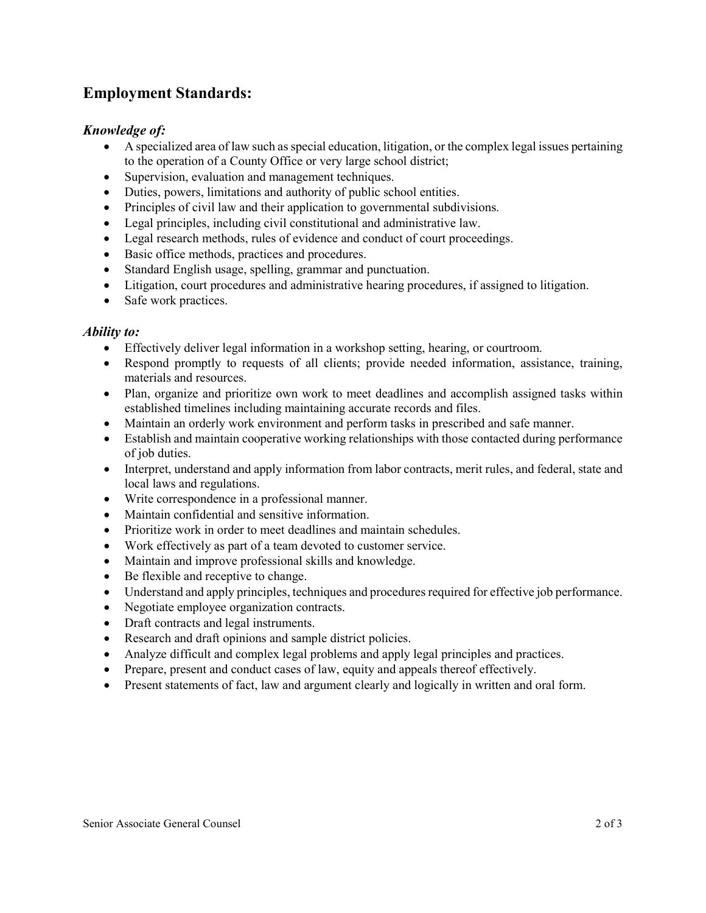## **Employment Standards:**

## *Knowledge of:*

- A specialized area of law such as special education, litigation, or the complex legal issues pertaining to the operation of a County Office or very large school district;
- Supervision, evaluation and management techniques.
- Duties, powers, limitations and authority of public school entities.
- Principles of civil law and their application to governmental subdivisions.
- Legal principles, including civil constitutional and administrative law.
- Legal research methods, rules of evidence and conduct of court proceedings.
- Basic office methods, practices and procedures.
- Standard English usage, spelling, grammar and punctuation.
- Litigation, court procedures and administrative hearing procedures, if assigned to litigation.
- Safe work practices.

## *Ability to:*

- Effectively deliver legal information in a workshop setting, hearing, or courtroom.
- Respond promptly to requests of all clients; provide needed information, assistance, training, materials and resources.
- Plan, organize and prioritize own work to meet deadlines and accomplish assigned tasks within established timelines including maintaining accurate records and files.
- Maintain an orderly work environment and perform tasks in prescribed and safe manner.
- Establish and maintain cooperative working relationships with those contacted during performance of job duties.
- Interpret, understand and apply information from labor contracts, merit rules, and federal, state and local laws and regulations.
- Write correspondence in a professional manner.
- Maintain confidential and sensitive information.
- Prioritize work in order to meet deadlines and maintain schedules.
- Work effectively as part of a team devoted to customer service.
- Maintain and improve professional skills and knowledge.
- Be flexible and receptive to change.
- Understand and apply principles, techniques and procedures required for effective job performance.
- Negotiate employee organization contracts.
- Draft contracts and legal instruments.
- Research and draft opinions and sample district policies.
- Analyze difficult and complex legal problems and apply legal principles and practices.
- Prepare, present and conduct cases of law, equity and appeals thereof effectively.
- Present statements of fact, law and argument clearly and logically in written and oral form.